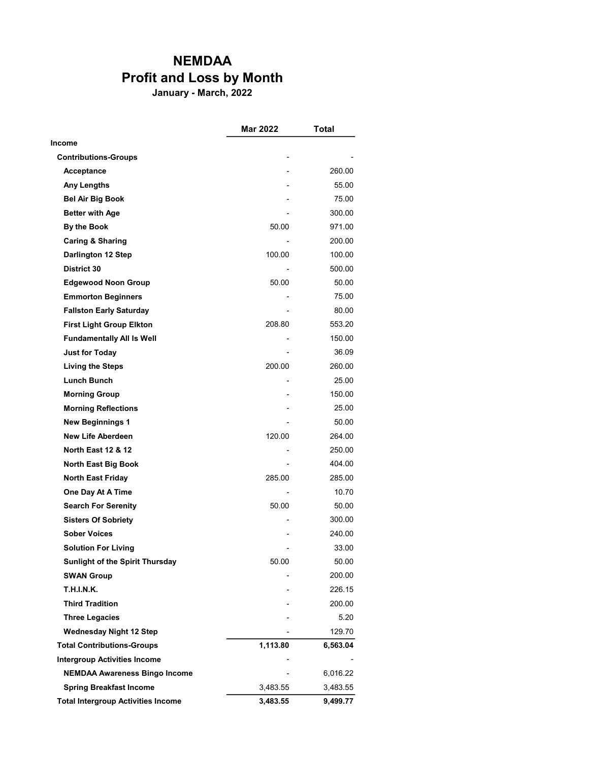## NEMDAA Profit and Loss by Month

January - March, 2022

|                                           | Mar 2022 | Total    |
|-------------------------------------------|----------|----------|
| Income                                    |          |          |
| <b>Contributions-Groups</b>               |          |          |
| Acceptance                                |          | 260.00   |
| <b>Any Lengths</b>                        |          | 55.00    |
| <b>Bel Air Big Book</b>                   |          | 75.00    |
| <b>Better with Age</b>                    |          | 300.00   |
| By the Book                               | 50.00    | 971.00   |
| <b>Caring &amp; Sharing</b>               |          | 200.00   |
| Darlington 12 Step                        | 100.00   | 100.00   |
| District 30                               |          | 500.00   |
| <b>Edgewood Noon Group</b>                | 50.00    | 50.00    |
| <b>Emmorton Beginners</b>                 |          | 75.00    |
| <b>Fallston Early Saturday</b>            |          | 80.00    |
| <b>First Light Group Elkton</b>           | 208.80   | 553.20   |
| <b>Fundamentally All Is Well</b>          |          | 150.00   |
| <b>Just for Today</b>                     |          | 36.09    |
| <b>Living the Steps</b>                   | 200.00   | 260.00   |
| <b>Lunch Bunch</b>                        |          | 25.00    |
| <b>Morning Group</b>                      |          | 150.00   |
| <b>Morning Reflections</b>                |          | 25.00    |
| <b>New Beginnings 1</b>                   |          | 50.00    |
| <b>New Life Aberdeen</b>                  | 120.00   | 264.00   |
| <b>North East 12 &amp; 12</b>             |          | 250.00   |
| North East Big Book                       |          | 404.00   |
| <b>North East Friday</b>                  | 285.00   | 285.00   |
| One Day At A Time                         |          | 10.70    |
| <b>Search For Serenity</b>                | 50.00    | 50.00    |
| <b>Sisters Of Sobriety</b>                |          | 300.00   |
| <b>Sober Voices</b>                       |          | 240.00   |
| <b>Solution For Living</b>                |          | 33.00    |
| Sunlight of the Spirit Thursday           | 50.00    | 50.00    |
| <b>SWAN Group</b>                         |          | 200.00   |
| T.H.I.N.K.                                |          | 226.15   |
| <b>Third Tradition</b>                    |          | 200.00   |
| <b>Three Legacies</b>                     |          | 5.20     |
| <b>Wednesday Night 12 Step</b>            |          | 129.70   |
| <b>Total Contributions-Groups</b>         | 1,113.80 | 6,563.04 |
| <b>Intergroup Activities Income</b>       |          |          |
| <b>NEMDAA Awareness Bingo Income</b>      |          | 6,016.22 |
| <b>Spring Breakfast Income</b>            | 3,483.55 | 3,483.55 |
| <b>Total Intergroup Activities Income</b> | 3,483.55 | 9,499.77 |